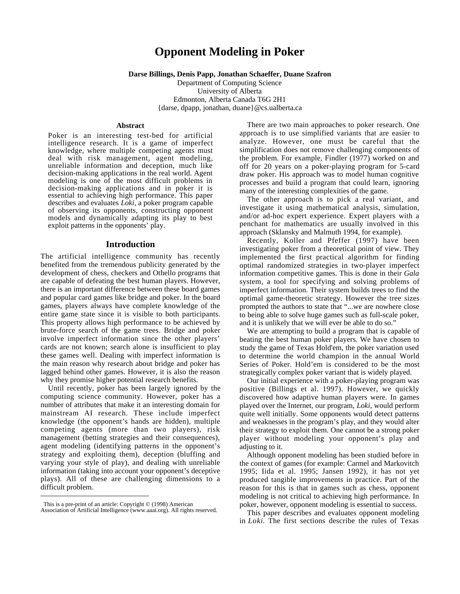# **Opponent Modeling in Poker**

#### **Darse Billings, Denis Papp, Jonathan Schaeffer, Duane Szafron**

Department of Computing Science University of Alberta Edmonton, Alberta Canada T6G 2H1 {darse, dpapp, jonathan, duane}@cs.ualberta.ca

#### **Abstract**

Poker is an interesting test-bed for artificial intelligence research. It is a game of imperfect knowledge, where multiple competing agents must deal with risk management, agent modeling, unreliable information and deception, much like decision-making applications in the real world. Agent modeling is one of the most difficult problems in decision-making applications and in poker it is essential to achieving high performance. This paper describes and evaluates *Loki*, a poker program capable of observing its opponents, constructing opponent models and dynamically adapting its play to best exploit patterns in the opponents' play.

# **Introduction**

The artificial intelligence community has recently benefited from the tremendous publicity generated by the development of chess, checkers and Othello programs that are capable of defeating the best human players. However, there is an important difference between these board games and popular card games like bridge and poker. In the board games, players always have complete knowledge of the entire game state since it is visible to both participants. This property allows high performance to be achieved by brute-force search of the game trees. Bridge and poker involve imperfect information since the other players' cards are not known; search alone is insufficient to play these games well. Dealing with imperfect information is the main reason why research about bridge and poker has lagged behind other games. However, it is also the reason why they promise higher potential research benefits.

Until recently, poker has been largely ignored by the computing science community. However, poker has a number of attributes that make it an interesting domain for mainstream AI research. These include imperfect knowledge (the opponent's hands are hidden), multiple competing agents (more than two players), risk management (betting strategies and their consequences), agent modeling (identifying patterns in the opponent's strategy and exploiting them), deception (bluffing and varying your style of play), and dealing with unreliable information (taking into account your opponent's deceptive plays). All of these are challenging dimensions to a difficult problem.

 $\overline{a}$ 

There are two main approaches to poker research. One approach is to use simplified variants that are easier to analyze. However, one must be careful that the simplification does not remove challenging components of the problem. For example, Findler (1977) worked on and off for 20 years on a poker-playing program for 5-card draw poker. His approach was to model human cognitive processes and build a program that could learn, ignoring many of the interesting complexities of the game.

The other approach is to pick a real variant, and investigate it using mathematical analysis, simulation, and/or ad-hoc expert experience. Expert players with a penchant for mathematics are usually involved in this approach (Sklansky and Malmuth 1994, for example).

Recently, Koller and Pfeffer (1997) have been investigating poker from a theoretical point of view. They implemented the first practical algorithm for finding optimal randomized strategies in two-player imperfect information competitive games. This is done in their *Gala* system, a tool for specifying and solving problems of imperfect information. Their system builds trees to find the optimal game-theoretic strategy. However the tree sizes prompted the authors to state that "...we are nowhere close to being able to solve huge games such as full-scale poker, and it is unlikely that we will ever be able to do so."

We are attempting to build a program that is capable of beating the best human poker players. We have chosen to study the game of Texas Hold'em, the poker variation used to determine the world champion in the annual World Series of Poker. Hold'em is considered to be the most strategically complex poker variant that is widely played.

Our initial experience with a poker-playing program was positive (Billings et al. 1997). However, we quickly discovered how adaptive human players were. In games played over the Internet, our program, *Loki*, would perform quite well initially. Some opponents would detect patterns and weaknesses in the program's play, and they would alter their strategy to exploit them. One cannot be a strong poker player without modeling your opponent's play and adjusting to it.

Although opponent modeling has been studied before in the context of games (for example: Carmel and Markovitch 1995; Iida et al. 1995; Jansen 1992), it has not yet produced tangible improvements in practice. Part of the reason for this is that in games such as chess, opponent modeling is not critical to achieving high performance. In poker, however, opponent modeling is essential to success.

This paper describes and evaluates opponent modeling in *Loki*. The first sections describe the rules of Texas

This is a pre-print of an article: Copyright © (1998) American Association of Artificial Intelligence (www.aaai.org). All rights reserved.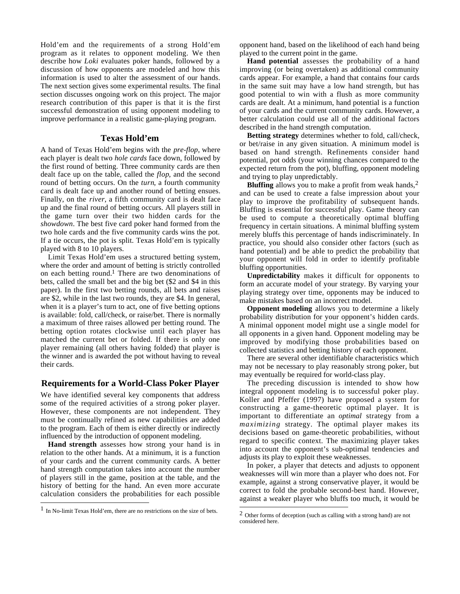Hold'em and the requirements of a strong Hold'em program as it relates to opponent modeling. We then describe how *Loki* evaluates poker hands, followed by a discussion of how opponents are modeled and how this information is used to alter the assessment of our hands. The next section gives some experimental results. The final section discusses ongoing work on this project. The major research contribution of this paper is that it is the first successful demonstration of using opponent modeling to improve performance in a realistic game-playing program.

## **Texas Hold'em**

A hand of Texas Hold'em begins with the *pre-flop*, where each player is dealt two *hole cards* face down, followed by the first round of betting. Three community cards are then dealt face up on the table, called the *flop*, and the second round of betting occurs. On the *turn*, a fourth community card is dealt face up and another round of betting ensues. Finally, on the *river*, a fifth community card is dealt face up and the final round of betting occurs. All players still in the game turn over their two hidden cards for the *showdown*. The best five card poker hand formed from the two hole cards and the five community cards wins the pot. If a tie occurs, the pot is split. Texas Hold'em is typically played with 8 to 10 players.

Limit Texas Hold'em uses a structured betting system, where the order and amount of betting is strictly controlled on each betting round.1 There are two denominations of bets, called the small bet and the big bet (\$2 and \$4 in this paper). In the first two betting rounds, all bets and raises are \$2, while in the last two rounds, they are \$4. In general, when it is a player's turn to act, one of five betting options is available: fold, call/check, or raise/bet. There is normally a maximum of three raises allowed per betting round. The betting option rotates clockwise until each player has matched the current bet or folded. If there is only one player remaining (all others having folded) that player is the winner and is awarded the pot without having to reveal their cards.

# **Requirements for a World-Class Poker Player**

We have identified several key components that address some of the required activities of a strong poker player. However, these components are not independent. They must be continually refined as new capabilities are added to the program. Each of them is either directly or indirectly influenced by the introduction of opponent modeling.

**Hand strength** assesses how strong your hand is in relation to the other hands. At a minimum, it is a function of your cards and the current community cards. A better hand strength computation takes into account the number of players still in the game, position at the table, and the history of betting for the hand. An even more accurate calculation considers the probabilities for each possible

 $\overline{a}$ 

opponent hand, based on the likelihood of each hand being played to the current point in the game.

**Hand potential** assesses the probability of a hand improving (or being overtaken) as additional community cards appear. For example, a hand that contains four cards in the same suit may have a low hand strength, but has good potential to win with a flush as more community cards are dealt. At a minimum, hand potential is a function of your cards and the current community cards. However, a better calculation could use all of the additional factors described in the hand strength computation.

**Betting strategy** determines whether to fold, call/check, or bet/raise in any given situation. A minimum model is based on hand strength. Refinements consider hand potential, pot odds (your winning chances compared to the expected return from the pot), bluffing, opponent modeling and trying to play unpredictably.

**Bluffing** allows you to make a profit from weak hands,<sup>2</sup> and can be used to create a false impression about your play to improve the profitability of subsequent hands. Bluffing is essential for successful play. Game theory can be used to compute a theoretically optimal bluffing frequency in certain situations. A minimal bluffing system merely bluffs this percentage of hands indiscriminately. In practice, you should also consider other factors (such as hand potential) and be able to predict the probability that your opponent will fold in order to identify profitable bluffing opportunities.

**Unpredictability** makes it difficult for opponents to form an accurate model of your strategy. By varying your playing strategy over time, opponents may be induced to make mistakes based on an incorrect model.

**Opponent modeling** allows you to determine a likely probability distribution for your opponent's hidden cards. A minimal opponent model might use a single model for all opponents in a given hand. Opponent modeling may be improved by modifying those probabilities based on collected statistics and betting history of each opponent.

There are several other identifiable characteristics which may not be necessary to play reasonably strong poker, but may eventually be required for world-class play.

The preceding discussion is intended to show how integral opponent modeling is to successful poker play. Koller and Pfeffer (1997) have proposed a system for constructing a game-theoretic optimal player. It is important to differentiate an *optimal* strategy from a *maximizing* strategy. The optimal player makes its decisions based on game-theoretic probabilities, without regard to specific context. The maximizing player takes into account the opponent's sub-optimal tendencies and adjusts its play to exploit these weaknesses.

In poker, a player that detects and adjusts to opponent weaknesses will win more than a player who does not. For example, against a strong conservative player, it would be correct to fold the probable second-best hand. However, against a weaker player who bluffs too much, it would be

 $\overline{a}$ 

<sup>1</sup> In No-limit Texas Hold'em, there are no restrictions on the size of bets.

<sup>2</sup> Other forms of deception (such as calling with a strong hand) are not considered here.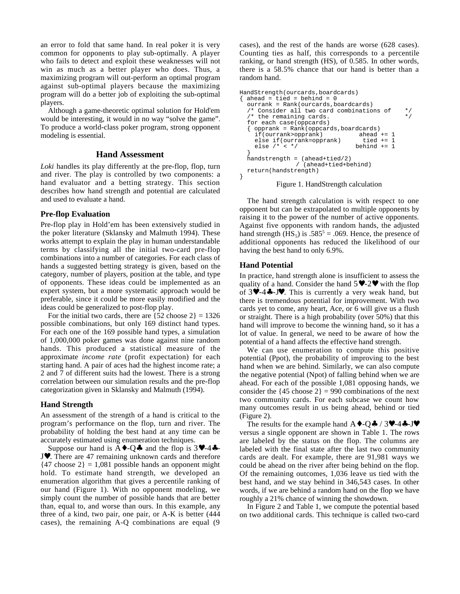an error to fold that same hand. In real poker it is very common for opponents to play sub-optimally. A player who fails to detect and exploit these weaknesses will not win as much as a better player who does. Thus, a maximizing program will out-perform an optimal program against sub-optimal players because the maximizing program will do a better job of exploiting the sub-optimal players.

Although a game-theoretic optimal solution for Hold'em would be interesting, it would in no way "solve the game". To produce a world-class poker program, strong opponent modeling is essential.

## **Hand Assessment**

*Loki* handles its play differently at the pre-flop, flop, turn and river. The play is controlled by two components: a hand evaluator and a betting strategy. This section describes how hand strength and potential are calculated and used to evaluate a hand.

## **Pre-flop Evaluation**

Pre-flop play in Hold'em has been extensively studied in the poker literature (Sklansky and Malmuth 1994). These works attempt to explain the play in human understandable terms by classifying all the initial two-card pre-flop combinations into a number of categories. For each class of hands a suggested betting strategy is given, based on the category, number of players, position at the table, and type of opponents. These ideas could be implemented as an expert system, but a more systematic approach would be preferable, since it could be more easily modified and the ideas could be generalized to post-flop play.

For the initial two cards, there are  $\{52 \text{ choose } 2\} = 1326$ possible combinations, but only 169 distinct hand types. For each one of the 169 possible hand types, a simulation of 1,000,000 poker games was done against nine random hands. This produced a statistical measure of the approximate *income rate* (profit expectation) for each starting hand. A pair of aces had the highest income rate; a 2 and 7 of different suits had the lowest. There is a strong correlation between our simulation results and the pre-flop categorization given in Sklansky and Malmuth (1994).

## **Hand Strength**

An assessment of the strength of a hand is critical to the program's performance on the flop, turn and river. The probability of holding the best hand at any time can be accurately estimated using enumeration techniques.

Suppose our hand is  $A \rightarrow Q \clubsuit$  and the flop is  $3 \vee -4 \clubsuit -$ J♥. There are 47 remaining unknown cards and therefore  ${47 \text{ choose } 2} = 1,081 \text{ possible hands an opponent might}$ hold. To estimate hand strength, we developed an enumeration algorithm that gives a percentile ranking of our hand (Figure 1). With no opponent modeling, we simply count the number of possible hands that are better than, equal to, and worse than ours. In this example, any three of a kind, two pair, one pair, or A-K is better (444 cases), the remaining A-Q combinations are equal (9 cases), and the rest of the hands are worse (628 cases). Counting ties as half, this corresponds to a percentile ranking, or hand strength (HS), of 0.585. In other words, there is a 58.5% chance that our hand is better than a random hand.

```
HandStrength(ourcards,boardcards)
\{ ahead = tied = behind = 0
  ourrank = Rank(ourcards,boardcards)
  /* Consider all two card combinations of */
  /* the remaining cards.
  for each case(oppcards)
  { opprank = Rank(oppcards,boardcards)<br>if(ourrank>opprank) ahead += 1
    if(ourrank>opprank) ahead += 1
    else if(ourrank=opprank) tied += 1<br>else /* < */ behind += 1
    else /* < * /}
  handstrength = (ahead+tied/2)
                 / (ahead+tied+behind)
  return(handstrength)
}
```
## Figure 1. HandStrength calculation

The hand strength calculation is with respect to one opponent but can be extrapolated to multiple opponents by raising it to the power of the number of active opponents. Against five opponents with random hands, the adjusted hand strength  $(HS_5)$  is  $.585^5 = .069$ . Hence, the presence of additional opponents has reduced the likelihood of our having the best hand to only 6.9%.

## **Hand Potential**

In practice, hand strength alone is insufficient to assess the quality of a hand. Consider the hand  $5 \vee -2 \vee$  with the flop of  $3\blacktriangledown -4\clubsuit -J\blacktriangledown$ . This is currently a very weak hand, but there is tremendous potential for improvement. With two cards yet to come, any heart, Ace, or 6 will give us a flush or straight. There is a high probability (over 50%) that this hand will improve to become the winning hand, so it has a lot of value. In general, we need to be aware of how the potential of a hand affects the effective hand strength.

We can use enumeration to compute this positive potential (Ppot), the probability of improving to the best hand when we are behind. Similarly, we can also compute the negative potential (Npot) of falling behind when we are ahead. For each of the possible 1,081 opposing hands, we consider the  $\{45 \text{ choose } 2\} = 990 \text{ combinations of the next}$ two community cards. For each subcase we count how many outcomes result in us being ahead, behind or tied (Figure 2).

The results for the example hand  $A \rightarrow Q \rightarrow / 3 \rightarrow -4 \rightarrow J \rightarrow$ versus a single opponent are shown in Table 1. The rows are labeled by the status on the flop. The columns are labeled with the final state after the last two community cards are dealt. For example, there are 91,981 ways we could be ahead on the river after being behind on the flop. Of the remaining outcomes, 1,036 leave us tied with the best hand, and we stay behind in 346,543 cases. In other words, if we are behind a random hand on the flop we have roughly a 21% chance of winning the showdown.

In Figure 2 and Table 1, we compute the potential based on two additional cards. This technique is called two-card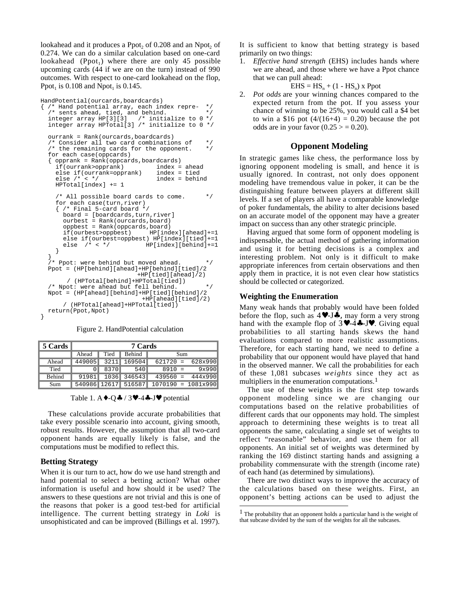lookahead and it produces a  $\text{Ppot}_2$  of  $0.208$  and an  $\text{Npot}_2$  of 0.274. We can do a similar calculation based on one-card lookahead (Ppot<sub>1</sub>) where there are only 45 possible upcoming cards (44 if we are on the turn) instead of 990 outcomes. With respect to one-card lookahead on the flop, Ppot<sub>1</sub> is  $0.108$  and Npot<sub>1</sub> is  $0.145$ .

```
HandPotential(ourcards,boardcards)
\frac{1}{x} /* Hand potential array, each index repre- */<br>
/* sents ahead. tied. and behind. */
   /* sents ahead, tied, and behind. */<br>integer array HP[3][3] /* initialize to 0 */
  integer array HP[3][3] \prime* initialize to 0 */<br>integer array HPTotal[3] /* initialize to 0 */
  integer array HPTotal[3] /* initialize to 0
  ourrank = Rank(ourcards,boardcards)
     Consider all two card combinations of */<br>the remaining cards for the opponent. */
  /* the remaining cards for the opponent.
  for each case(oppcards)
   { opprank = Rank(oppcards,boardcards)
     if(ourrank\texttt{>opprank})else if(ourrank=opprank) index = tied<br>else /* < */ index = behindex = tied
                                       index = behindHPTotal[index] += 1
     /* All possible board cards to come. */
     for each case(turn,river)
     { /* Final 5-card board */
       board = [boardcards,turn,river]
       ourbest = Rank(ourcards,board)
       oppbest = Rank(oppcards,board)<br>if(ourbest>oppbest) HP[index][ahead]+=1
       if(ourbest>oppbest)
       else if(ourbest=oppbest) HP[index][tied]+=1
       else /* < */ HP[index][behind] +=1
     }
  }
  /* Ppot: were behind but moved ahead. */
  Ppot = (HP[behind][ahead]+HP[behind][tied]/2
                                  +HP[tied][ahead]/2)
         / (HPTotal[behind]+HPTotal[tied])
  /* Npot: were ahead but fell behind. *Npot = (HP[ahead][behind]+HP[tied][behind]/2
                                  +HP[ahead][tied]/2)
        / (HPTotal[ahead]+HPTotal[tied])
  return(Ppot,Npot)
}
```
Figure 2. HandPotential calculation

| 5 Cards | 7 Cards |          |                   |          |  |                                                                     |  |  |  |  |
|---------|---------|----------|-------------------|----------|--|---------------------------------------------------------------------|--|--|--|--|
|         |         |          | Ahead Tied Behind | Sum      |  |                                                                     |  |  |  |  |
| Ahead   |         |          |                   |          |  | $\vert 449005 \vert 3211 \vert 169504 \vert 621720 = 628x990 \vert$ |  |  |  |  |
| Tied    |         | $0$ 8370 | 540               | $8910 =$ |  | 9x990                                                               |  |  |  |  |
| Behind  |         |          |                   |          |  | $91981$ 1036 346543 439560 = 444x990                                |  |  |  |  |
| Sum     |         |          |                   |          |  | $540986$ 12617 516587 1070190 = 1081x990                            |  |  |  |  |

Table 1. A $\triangleleft$ -Q $\triangleleft$  / 3 $\triangledown$ -4 $\triangleleft$ -J $\triangledown$  potential

These calculations provide accurate probabilities that take every possible scenario into account, giving smooth, robust results. However, the assumption that all two-card opponent hands are equally likely is false, and the computations must be modified to reflect this.

#### **Betting Strategy**

When it is our turn to act, how do we use hand strength and hand potential to select a betting action? What other information is useful and how should it be used? The answers to these questions are not trivial and this is one of the reasons that poker is a good test-bed for artificial intelligence. The current betting strategy in *Loki* is unsophisticated and can be improved (Billings et al. 1997).

It is sufficient to know that betting strategy is based primarily on two things:

*Effective hand strength* (EHS) includes hands where we are ahead, and those where we have a Ppot chance that we can pull ahead:

$$
EHS = HS_n + (1 - HS_n) \times Ppot
$$

2. *Pot odds* are your winning chances compared to the expected return from the pot. If you assess your chance of winning to be 25%, you would call a \$4 bet to win a \$16 pot  $(4/(16+4) = 0.20)$  because the pot odds are in your favor  $(0.25 > 0.20)$ .

# **Opponent Modeling**

In strategic games like chess, the performance loss by ignoring opponent modeling is small, and hence it is usually ignored. In contrast, not only does opponent modeling have tremendous value in poker, it can be the distinguishing feature between players at different skill levels. If a set of players all have a comparable knowledge of poker fundamentals, the ability to alter decisions based on an accurate model of the opponent may have a greater impact on success than any other strategic principle.

Having argued that some form of opponent modeling is indispensable, the actual method of gathering information and using it for betting decisions is a complex and interesting problem. Not only is it difficult to make appropriate inferences from certain observations and then apply them in practice, it is not even clear how statistics should be collected or categorized.

#### **Weighting the Enumeration**

 $\overline{a}$ 

Many weak hands that probably would have been folded before the flop, such as  $4 \vee 0.5 \clubsuit$ , may form a very strong hand with the example flop of  $3 \vee -4 \cdot -5 \vee$ . Giving equal probabilities to all starting hands skews the hand evaluations compared to more realistic assumptions. Therefore, for each starting hand, we need to define a probability that our opponent would have played that hand in the observed manner. We call the probabilities for each of these 1,081 subcases *weights* since they act as multipliers in the enumeration computations.<sup>1</sup>

The use of these weights is the first step towards opponent modeling since we are changing our computations based on the relative probabilities of different cards that our opponents may hold. The simplest approach to determining these weights is to treat all opponents the same, calculating a single set of weights to reflect "reasonable" behavior, and use them for all opponents. An initial set of weights was determined by ranking the 169 distinct starting hands and assigning a probability commensurate with the strength (income rate) of each hand (as determined by simulations).

There are two distinct ways to improve the accuracy of the calculations based on these weights. First, an opponent's betting actions can be used to adjust the

<sup>&</sup>lt;sup>1</sup> The probability that an opponent holds a particular hand is the weight of that subcase divided by the sum of the weights for all the subcases.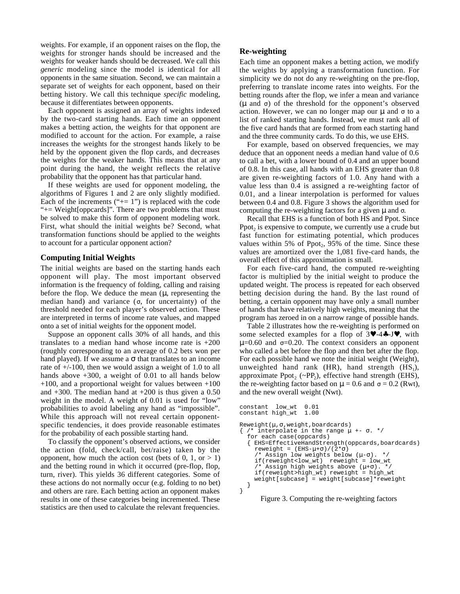weights. For example, if an opponent raises on the flop, the weights for stronger hands should be increased and the weights for weaker hands should be decreased. We call this *generic* modeling since the model is identical for all opponents in the same situation. Second, we can maintain a separate set of weights for each opponent, based on their betting history. We call this technique *specific* modeling, because it differentiates between opponents.

Each opponent is assigned an array of weights indexed by the two-card starting hands. Each time an opponent makes a betting action, the weights for that opponent are modified to account for the action. For example, a raise increases the weights for the strongest hands likely to be held by the opponent given the flop cards, and decreases the weights for the weaker hands. This means that at any point during the hand, the weight reflects the relative probability that the opponent has that particular hand.

If these weights are used for opponent modeling, the algorithms of Figures 1 and 2 are only slightly modified. Each of the increments  $("+= 1")$  is replaced with the code "+= Weight[oppcards]". There are two problems that must be solved to make this form of opponent modeling work. First, what should the initial weights be? Second, what transformation functions should be applied to the weights to account for a particular opponent action?

# **Computing Initial Weights**

The initial weights are based on the starting hands each opponent will play. The most important observed information is the frequency of folding, calling and raising before the flop. We deduce the mean  $(\mu)$ , representing the median hand) and variance  $(\sigma,$  for uncertainty) of the threshold needed for each player's observed action. These are interpreted in terms of income rate values, and mapped onto a set of initial weights for the opponent model.

Suppose an opponent calls 30% of all hands, and this translates to a median hand whose income rate is  $+200$ (roughly corresponding to an average of 0.2 bets won per hand played). If we assume a  $\sigma$  that translates to an income rate of +/-100, then we would assign a weight of 1.0 to all hands above  $+300$ , a weight of 0.01 to all hands below  $+100$ , and a proportional weight for values between  $+100$ and  $+300$ . The median hand at  $+200$  is thus given a 0.50 weight in the model. A weight of 0.01 is used for "low" probabilities to avoid labeling any hand as "impossible". While this approach will not reveal certain opponentspecific tendencies, it does provide reasonable estimates for the probability of each possible starting hand.

To classify the opponent's observed actions, we consider the action (fold, check/call, bet/raise) taken by the opponent, how much the action cost (bets of  $0, 1,$  or  $> 1$ ) and the betting round in which it occurred (pre-flop, flop, turn, river). This yields 36 different categories. Some of these actions do not normally occur (e.g. folding to no bet) and others are rare. Each betting action an opponent makes results in one of these categories being incremented. These statistics are then used to calculate the relevant frequencies.

# **Re-weighting**

Each time an opponent makes a betting action, we modify the weights by applying a transformation function. For simplicity we do not do any re-weighting on the pre-flop, preferring to translate income rates into weights. For the betting rounds after the flop, we infer a mean and variance (µ and σ) of the threshold for the opponent's observed action. However, we can no longer map our  $\mu$  and  $\sigma$  to a list of ranked starting hands. Instead, we must rank all of the five card hands that are formed from each starting hand and the three community cards. To do this, we use EHS.

For example, based on observed frequencies, we may deduce that an opponent needs a median hand value of 0.6 to call a bet, with a lower bound of 0.4 and an upper bound of 0.8. In this case, all hands with an EHS greater than 0.8 are given re-weighting factors of 1.0. Any hand with a value less than 0.4 is assigned a re-weighting factor of 0.01, and a linear interpolation is performed for values between 0.4 and 0.8. Figure 3 shows the algorithm used for computing the re-weighting factors for a given  $\mu$  and  $\sigma$ .

Recall that EHS is a function of both HS and Ppot. Since  $Ppot<sub>2</sub>$  is expensive to compute, we currently use a crude but fast function for estimating potential, which produces values within 5% of  $Ppot_2$ , 95% of the time. Since these values are amortized over the 1,081 five-card hands, the overall effect of this approximation is small.

For each five-card hand, the computed re-weighting factor is multiplied by the initial weight to produce the updated weight. The process is repeated for each observed betting decision during the hand. By the last round of betting, a certain opponent may have only a small number of hands that have relatively high weights, meaning that the program has zeroed in on a narrow range of possible hands.

Table 2 illustrates how the re-weighting is performed on some selected examples for a flop of  $3\blacktriangledown -4\clubsuit -J\blacktriangledown$ , with  $\mu$ =0.60 and  $\sigma$ =0.20. The context considers an opponent who called a bet before the flop and then bet after the flop. For each possible hand we note the initial weight (Weight), unweighted hand rank  $(HR)$ , hand strength  $(HS_1)$ , approximate  $\text{Ppot}_2$  (~ $\text{PP}_2$ ), effective hand strength (EHS), the re-weighting factor based on  $\mu = 0.6$  and  $\sigma = 0.2$  (Rwt), and the new overall weight (Nwt).

```
constant low_wt 0.01
constant high_wt 1.00
Reweight(µ,σ,weight,boardcards)
\{ /* interpolate in the range \mu +- \sigma. */
  for each case(oppcards)
    EHS=EffectiveHandStrength(oppcards,boardcards)
     reweight = (EHS-\mu+\sigma)/(2*\sigma)/* Assign low weights below (µ-σ). */
     \frac{1}{\pi} Assign low weight \frac{1}{\pi} reweight \frac{1}{\pi} reweight \frac{1}{\pi} reweight \frac{1}{\pi} .
     /* Assign high weights above (\mu+\sigma).
     if(reweight>high_wt) reweight = high_wt
      weight[subcase] = weight[subcase]*reweight
  }
}
```
Figure 3. Computing the re-weighting factors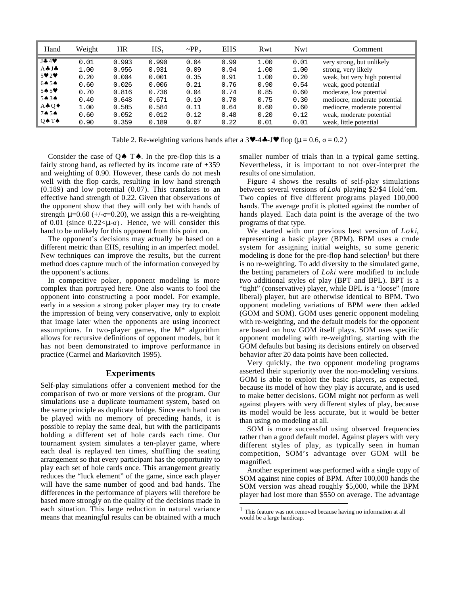| Hand                        | Weight | HR    | $HS_1$ | $\sim$ PP <sub>2</sub> | <b>EHS</b> | Rwt  | <b>Nwt</b> | Comment                       |
|-----------------------------|--------|-------|--------|------------------------|------------|------|------------|-------------------------------|
| $J + 4V$                    | 0.01   | 0.993 | 0.990  | 0.04                   | 0.99       | 1.00 | 0.01       | very strong, but unlikely     |
| A÷ J÷                       | 1.00   | 0.956 | 0.931  | 0.09                   | 0.94       | 1.00 | 1.00       | strong, very likely           |
| $5 \vee 2 \vee$             | 0.20   | 0.004 | 0.001  | 0.35                   | 0.91       | 1.00 | 0.20       | weak, but very high potential |
| 64.54                       | 0.60   | 0.026 | 0.006  | 0.21                   | 0.76       | 0.90 | 0.54       | weak, good potential          |
| $54.5*$                     | 0.70   | 0.816 | 0.736  | 0.04                   | 0.74       | 0.85 | 0.60       | moderate, low potential       |
| $5 \spadesuit 3 \spadesuit$ | 0.40   | 0.648 | 0.671  | 0.10                   | 0.70       | 0.75 | 0.30       | mediocre, moderate potential  |
| A÷ $Q\bullet$               | 1.00   | 0.585 | 0.584  | 0.11                   | 0.64       | 0.60 | 0.60       | mediocre, moderate potential  |
| 74.54                       | 0.60   | 0.052 | 0.012  | 0.12                   | 0.48       | 0.20 | 0.12       | weak, moderate potential      |
| $Q \spadesuit T \spadesuit$ | 0.90   | 0.359 | 0.189  | 0.07                   | 0.22       | 0.01 | 0.01       | weak, little potential        |

Table 2. Re-weighting various hands after a  $3 \vee -4 \cdot 5 \vee 1$  flop ( $\mu = 0.6$ ,  $\sigma = 0.2$ )

 $\overline{a}$ 

Consider the case of  $Q \spadesuit T \spadesuit$ . In the pre-flop this is a fairly strong hand, as reflected by its income rate of +359 and weighting of 0.90. However, these cards do not mesh well with the flop cards, resulting in low hand strength (0.189) and low potential (0.07). This translates to an effective hand strength of 0.22. Given that observations of the opponent show that they will only bet with hands of strength  $\mu$ =0.60 (+/- $\sigma$ =0.20), we assign this a re-weighting of 0.01 (since  $0.22 < \mu-\sigma$ ). Hence, we will consider this hand to be unlikely for this opponent from this point on.

The opponent's decisions may actually be based on a different metric than EHS, resulting in an imperfect model. New techniques can improve the results, but the current method does capture much of the information conveyed by the opponent's actions.

In competitive poker, opponent modeling is more complex than portrayed here. One also wants to fool the opponent into constructing a poor model. For example, early in a session a strong poker player may try to create the impression of being very conservative, only to exploit that image later when the opponents are using incorrect assumptions. In two-player games, the M\* algorithm allows for recursive definitions of opponent models, but it has not been demonstrated to improve performance in practice (Carmel and Markovitch 1995).

## **Experiments**

Self-play simulations offer a convenient method for the comparison of two or more versions of the program. Our simulations use a duplicate tournament system, based on the same principle as duplicate bridge. Since each hand can be played with no memory of preceding hands, it is possible to replay the same deal, but with the participants holding a different set of hole cards each time. Our tournament system simulates a ten-player game, where each deal is replayed ten times, shuffling the seating arrangement so that every participant has the opportunity to play each set of hole cards once. This arrangement greatly reduces the "luck element" of the game, since each player will have the same number of good and bad hands. The differences in the performance of players will therefore be based more strongly on the quality of the decisions made in each situation. This large reduction in natural variance means that meaningful results can be obtained with a much smaller number of trials than in a typical game setting. Nevertheless, it is important to not over-interpret the results of one simulation.

Figure 4 shows the results of self-play simulations between several versions of *Loki* playing \$2/\$4 Hold'em*.* Two copies of five different programs played 100,000 hands. The average profit is plotted against the number of hands played. Each data point is the average of the two programs of that type.

We started with our previous best version of *Loki*, representing a basic player (BPM). BPM uses a crude system for assigning initial weights, so some generic modeling is done for the pre-flop hand selection<sup>1</sup> but there is no re-weighting. To add diversity to the simulated game, the betting parameters of *Loki* were modified to include two additional styles of play (BPT and BPL). BPT is a "tight" (conservative) player, while BPL is a "loose" (more liberal) player, but are otherwise identical to BPM. Two opponent modeling variations of BPM were then added (GOM and SOM). GOM uses generic opponent modeling with re-weighting, and the default models for the opponent are based on how GOM itself plays. SOM uses specific opponent modeling with re-weighting, starting with the GOM defaults but basing its decisions entirely on observed behavior after 20 data points have been collected.

Very quickly, the two opponent modeling programs asserted their superiority over the non-modeling versions. GOM is able to exploit the basic players, as expected, because its model of how they play is accurate, and is used to make better decisions. GOM might not perform as well against players with very different styles of play, because its model would be less accurate, but it would be better than using no modeling at all.

SOM is more successful using observed frequencies rather than a good default model. Against players with very different styles of play, as typically seen in human competition, SOM's advantage over GOM will be magnified.

Another experiment was performed with a single copy of SOM against nine copies of BPM. After 100,000 hands the SOM version was ahead roughly \$5,000, while the BPM player had lost more than \$550 on average. The advantage

<sup>&</sup>lt;sup>1</sup> This feature was not removed because having no information at all would be a large handicap.